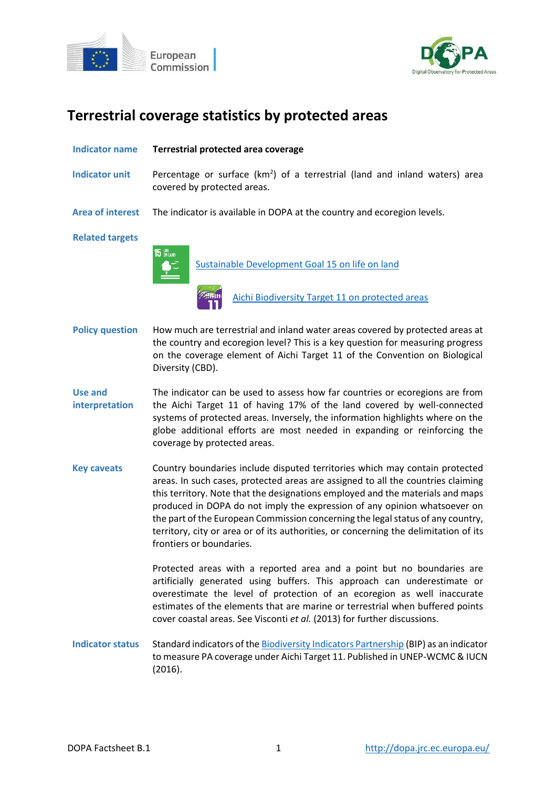



# **Terrestrial coverage statistics by protected areas**

| <b>Indicator name</b>            | Terrestrial protected area coverage                                                                                                                                                                                                                                                                                                                                                                                                                                                                                                   |
|----------------------------------|---------------------------------------------------------------------------------------------------------------------------------------------------------------------------------------------------------------------------------------------------------------------------------------------------------------------------------------------------------------------------------------------------------------------------------------------------------------------------------------------------------------------------------------|
| <b>Indicator unit</b>            | Percentage or surface $(km2)$ of a terrestrial (land and inland waters) area<br>covered by protected areas.                                                                                                                                                                                                                                                                                                                                                                                                                           |
| <b>Area of interest</b>          | The indicator is available in DOPA at the country and ecoregion levels.                                                                                                                                                                                                                                                                                                                                                                                                                                                               |
| <b>Related targets</b>           | <b>15 UPE</b><br>Sustainable Development Goal 15 on life on land<br>Aichi Biodiversity Target 11 on protected areas                                                                                                                                                                                                                                                                                                                                                                                                                   |
| <b>Policy question</b>           | How much are terrestrial and inland water areas covered by protected areas at<br>the country and ecoregion level? This is a key question for measuring progress<br>on the coverage element of Aichi Target 11 of the Convention on Biological<br>Diversity (CBD).                                                                                                                                                                                                                                                                     |
| <b>Use and</b><br>interpretation | The indicator can be used to assess how far countries or ecoregions are from<br>the Aichi Target 11 of having 17% of the land covered by well-connected<br>systems of protected areas. Inversely, the information highlights where on the<br>globe additional efforts are most needed in expanding or reinforcing the<br>coverage by protected areas.                                                                                                                                                                                 |
| <b>Key caveats</b>               | Country boundaries include disputed territories which may contain protected<br>areas. In such cases, protected areas are assigned to all the countries claiming<br>this territory. Note that the designations employed and the materials and maps<br>produced in DOPA do not imply the expression of any opinion whatsoever on<br>the part of the European Commission concerning the legal status of any country,<br>territory, city or area or of its authorities, or concerning the delimitation of its<br>frontiers or boundaries. |
|                                  | Protected areas with a reported area and a point but no boundaries are<br>artificially generated using buffers. This approach can underestimate or<br>overestimate the level of protection of an ecoregion as well inaccurate<br>estimates of the elements that are marine or terrestrial when buffered points<br>cover coastal areas. See Visconti et al. (2013) for further discussions.                                                                                                                                            |
| <b>Indicator status</b>          | Standard indicators of the Biodiversity Indicators Partnership (BIP) as an indicator<br>to measure PA coverage under Aichi Target 11. Published in UNEP-WCMC & IUCN<br>(2016).                                                                                                                                                                                                                                                                                                                                                        |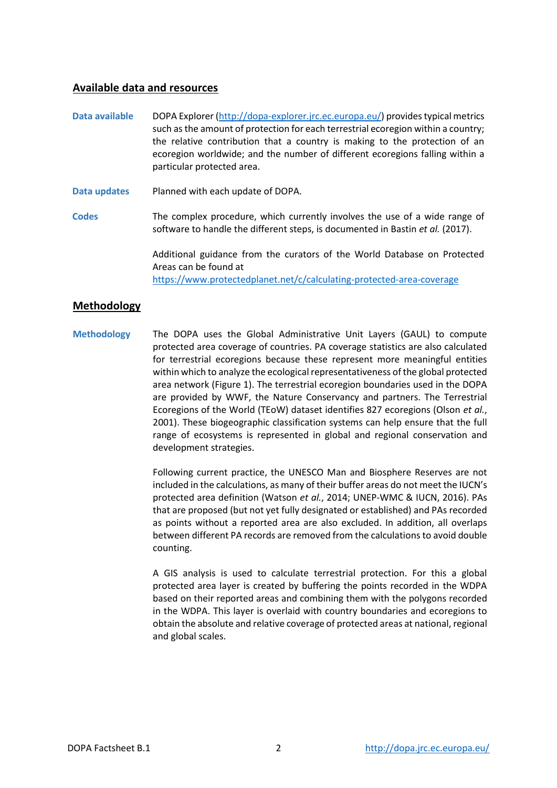## **Available data and resources**

- **Data available** DOPA Explorer [\(http://dopa-explorer.jrc.ec.europa.eu/\)](http://dopa-explorer.jrc.ec.europa.eu/) provides typical metrics such as the amount of protection for each terrestrial ecoregion within a country; the relative contribution that a country is making to the protection of an ecoregion worldwide; and the number of different ecoregions falling within a particular protected area.
- **Data updates** Planned with each update of DOPA.
- **Codes** The complex procedure, which currently involves the use of a wide range of software to handle the different steps, is documented in Bastin *et al.* (2017).

Additional guidance from the curators of the World Database on Protected Areas can be found at <https://www.protectedplanet.net/c/calculating-protected-area-coverage>

## **Methodology**

**Methodology** The DOPA uses the Global Administrative Unit Layers (GAUL) to compute protected area coverage of countries. PA coverage statistics are also calculated for terrestrial ecoregions because these represent more meaningful entities within which to analyze the ecological representativeness of the global protected area network (Figure 1). The terrestrial ecoregion boundaries used in the DOPA are provided by WWF, the Nature Conservancy and partners. The Terrestrial Ecoregions of the World (TEoW) dataset identifies 827 ecoregions (Olson *et al.*, 2001). These biogeographic classification systems can help ensure that the full range of ecosystems is represented in global and regional conservation and development strategies.

> Following current practice, the UNESCO Man and Biosphere Reserves are not included in the calculations, as many of their buffer areas do not meet the IUCN's protected area definition (Watson *et al.*, 2014; UNEP-WMC & IUCN, 2016). PAs that are proposed (but not yet fully designated or established) and PAs recorded as points without a reported area are also excluded. In addition, all overlaps between different PA records are removed from the calculations to avoid double counting.

> A GIS analysis is used to calculate terrestrial protection. For this a global protected area layer is created by buffering the points recorded in the WDPA based on their reported areas and combining them with the polygons recorded in the WDPA. This layer is overlaid with country boundaries and ecoregions to obtain the absolute and relative coverage of protected areas at national, regional and global scales.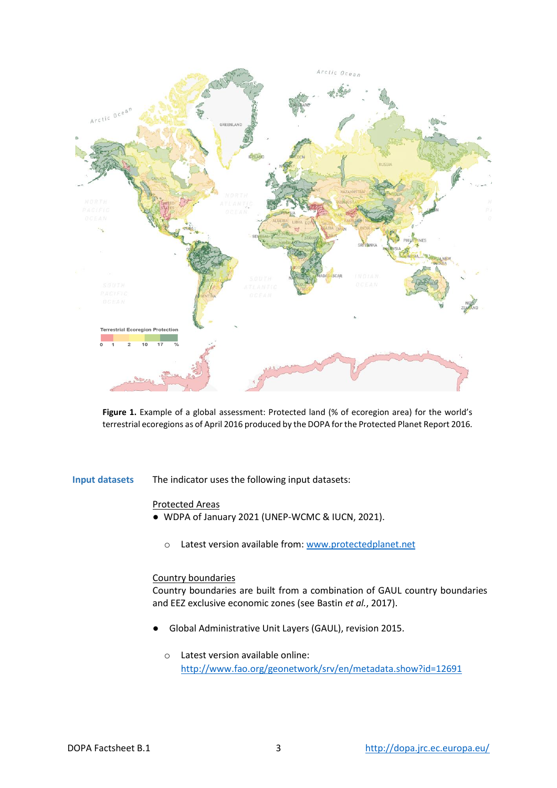

**Figure 1.** Example of a global assessment: Protected land (% of ecoregion area) for the world's terrestrial ecoregions as of April 2016 produced by the DOPA for the Protected Planet Report 2016.

**Input datasets** The indicator uses the following input datasets:

#### Protected Areas

- WDPA of January 2021 (UNEP-WCMC & IUCN, 2021).
	- o Latest version available from[: www.protectedplanet.net](http://www.protectedplanet.net/)

#### Country boundaries

Country boundaries are built from a combination of GAUL country boundaries and EEZ exclusive economic zones (see Bastin *et al.*, 2017).

- Global Administrative Unit Layers (GAUL), revision 2015.
	- o Latest version available online: <http://www.fao.org/geonetwork/srv/en/metadata.show?id=12691>